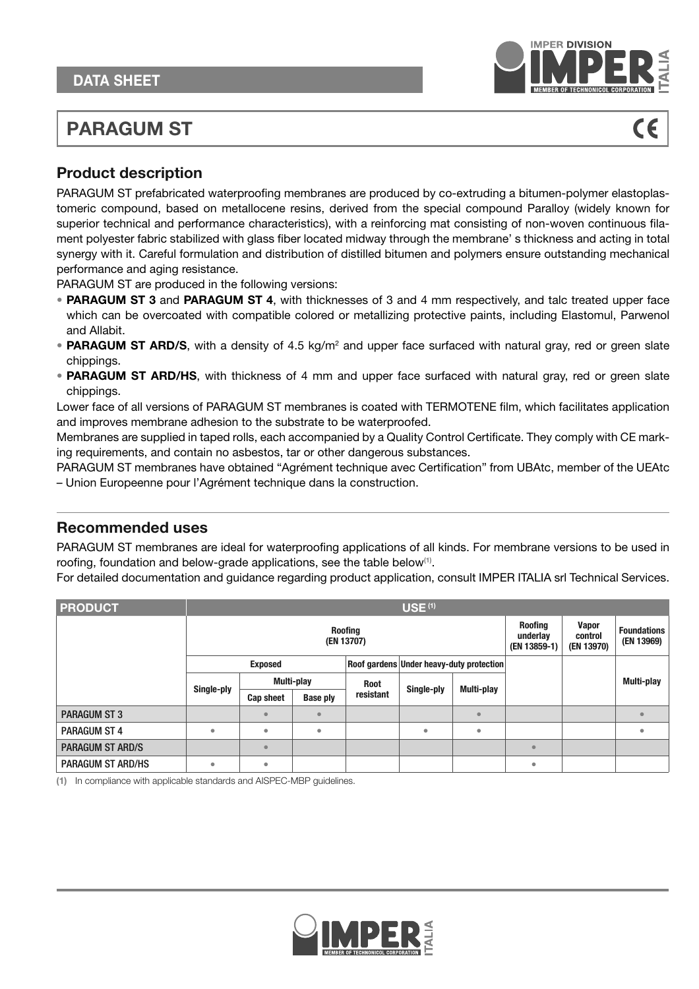

# **PARAGUM ST**

## **Product description**

PARAGUM ST prefabricated waterproofing membranes are produced by co-extruding a bitumen-polymer elastoplastomeric compound, based on metallocene resins, derived from the special compound Paralloy (widely known for superior technical and performance characteristics), with a reinforcing mat consisting of non-woven continuous filament polyester fabric stabilized with glass fiber located midway through the membrane' s thickness and acting in total synergy with it. Careful formulation and distribution of distilled bitumen and polymers ensure outstanding mechanical performance and aging resistance.

PARAGUM ST are produced in the following versions:

- **PARAGUM ST 3** and **PARAGUM ST 4**, with thicknesses of 3 and 4 mm respectively, and talc treated upper face which can be overcoated with compatible colored or metallizing protective paints, including Elastomul, Parwenol and Allabit.
- **PARAGUM ST ARD/S**, with a density of 4.5 kg/m<sup>2</sup> and upper face surfaced with natural gray, red or green slate chippings.
- **PARAGUM ST ARD/HS**, with thickness of 4 mm and upper face surfaced with natural gray, red or green slate chippings.

Lower face of all versions of PARAGUM ST membranes is coated with TERMOTENE film, which facilitates application and improves membrane adhesion to the substrate to be waterproofed.

Membranes are supplied in taped rolls, each accompanied by a Quality Control Certificate. They comply with CE marking requirements, and contain no asbestos, tar or other dangerous substances.

PARAGUM ST membranes have obtained "Agrément technique avec Certification" from UBAtc, member of the UEAtc – Union Europeenne pour l'Agrément technique dans la construction.

### **Recommended uses**

PARAGUM ST membranes are ideal for waterproofing applications of all kinds. For membrane versions to be used in roofing, foundation and below-grade applications, see the table below<sup>(1)</sup>.

For detailed documentation and guidance regarding product application, consult IMPER ITALIA srl Technical Services.

| <b>PRODUCT</b>           | <b>USE (1)</b> |                  |                                            |                                       |                                  |                                          |           |  |            |  |  |
|--------------------------|----------------|------------------|--------------------------------------------|---------------------------------------|----------------------------------|------------------------------------------|-----------|--|------------|--|--|
|                          |                |                  | <b>Roofing</b><br>underlay<br>(EN 13859-1) | <b>Vapor</b><br>control<br>(EN 13970) | <b>Foundations</b><br>(EN 13969) |                                          |           |  |            |  |  |
|                          |                | <b>Exposed</b>   |                                            |                                       |                                  | Roof gardens Under heavy-duty protection |           |  |            |  |  |
|                          |                |                  | Multi-play                                 | <b>Root</b>                           | Single-ply                       | Multi-play                               |           |  | Multi-play |  |  |
|                          | Single-ply     | <b>Cap sheet</b> | <b>Base ply</b>                            | resistant                             |                                  |                                          |           |  |            |  |  |
| <b>PARAGUM ST 3</b>      |                | $\epsilon$       |                                            |                                       |                                  | $\bullet$                                |           |  | $\bullet$  |  |  |
| <b>PARAGUM ST 4</b>      | $\bullet$      | ٠                | ٠                                          |                                       | ٠                                | ۰                                        |           |  | ٠          |  |  |
| <b>PARAGUM ST ARD/S</b>  |                | $\epsilon$       |                                            |                                       |                                  |                                          |           |  |            |  |  |
| <b>PARAGUM ST ARD/HS</b> | $\bullet$      | $\bullet$        |                                            |                                       |                                  |                                          | $\bullet$ |  |            |  |  |

**(1)** In compliance with applicable standards and AISPEC-MBP guidelines.